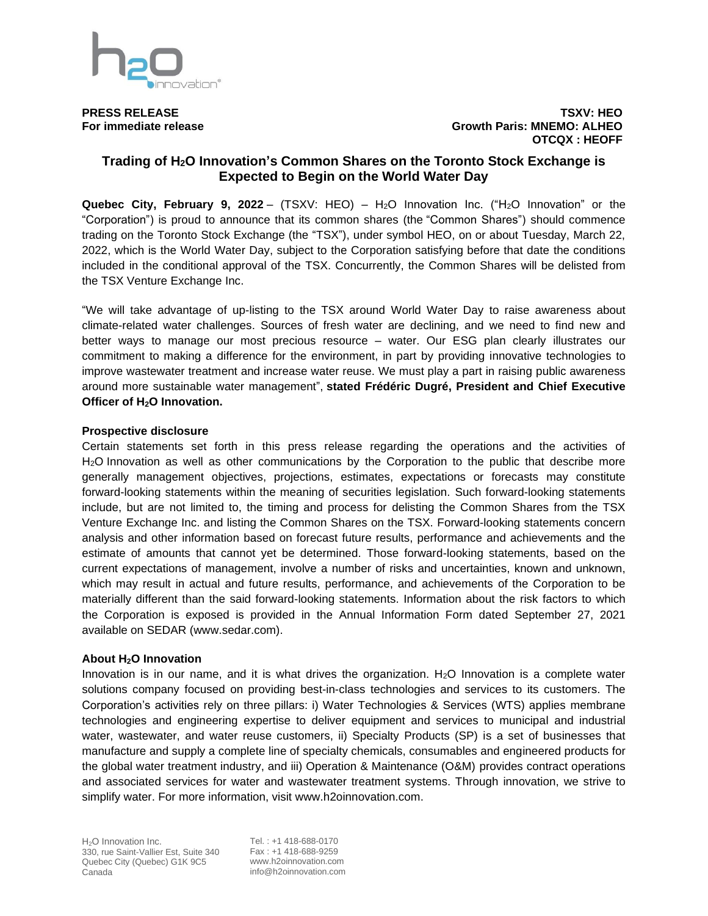

#### **PRESS RELEASE TSXV: HEO For immediate release Growth Paris: MNEMO: ALHEO OTCQX : HEOFF**

# **Trading of H2O Innovation's Common Shares on the Toronto Stock Exchange is Expected to Begin on the World Water Day**

**Quebec City, February 9, 2022** – (TSXV: HEO) – H2O Innovation Inc. ("H2O Innovation" or the "Corporation") is proud to announce that its common shares (the "Common Shares") should commence trading on the Toronto Stock Exchange (the "TSX"), under symbol HEO, on or about Tuesday, March 22, 2022, which is the World Water Day, subject to the Corporation satisfying before that date the conditions included in the conditional approval of the TSX. Concurrently, the Common Shares will be delisted from the TSX Venture Exchange Inc.

"We will take advantage of up-listing to the TSX around World Water Day to raise awareness about climate-related water challenges. Sources of fresh water are declining, and we need to find new and better ways to manage our most precious resource – water. Our ESG plan clearly illustrates our commitment to making a difference for the environment, in part by providing innovative technologies to improve wastewater treatment and increase water reuse. We must play a part in raising public awareness around more sustainable water management", **stated Frédéric Dugré, President and Chief Executive Officer of H2O Innovation.**

### **Prospective disclosure**

Certain statements set forth in this press release regarding the operations and the activities of H2O Innovation as well as other communications by the Corporation to the public that describe more generally management objectives, projections, estimates, expectations or forecasts may constitute forward-looking statements within the meaning of securities legislation. Such forward-looking statements include, but are not limited to, the timing and process for delisting the Common Shares from the TSX Venture Exchange Inc. and listing the Common Shares on the TSX. Forward-looking statements concern analysis and other information based on forecast future results, performance and achievements and the estimate of amounts that cannot yet be determined. Those forward-looking statements, based on the current expectations of management, involve a number of risks and uncertainties, known and unknown, which may result in actual and future results, performance, and achievements of the Corporation to be materially different than the said forward-looking statements. Information about the risk factors to which the Corporation is exposed is provided in the Annual Information Form dated September 27, 2021 available on SEDAR (www.sedar.com).

### **About H2O Innovation**

Innovation is in our name, and it is what drives the organization.  $H<sub>2</sub>O$  Innovation is a complete water solutions company focused on providing best-in-class technologies and services to its customers. The Corporation's activities rely on three pillars: i) Water Technologies & Services (WTS) applies membrane technologies and engineering expertise to deliver equipment and services to municipal and industrial water, wastewater, and water reuse customers, ii) Specialty Products (SP) is a set of businesses that manufacture and supply a complete line of specialty chemicals, consumables and engineered products for the global water treatment industry, and iii) Operation & Maintenance (O&M) provides contract operations and associated services for water and wastewater treatment systems. Through innovation, we strive to simplify water. For more information, visit www.h2oinnovation.com.

Tel. : +1 418-688-0170 Fax : +1 418-688-9259 www.h2oinnovation.com info@h2oinnovation.com